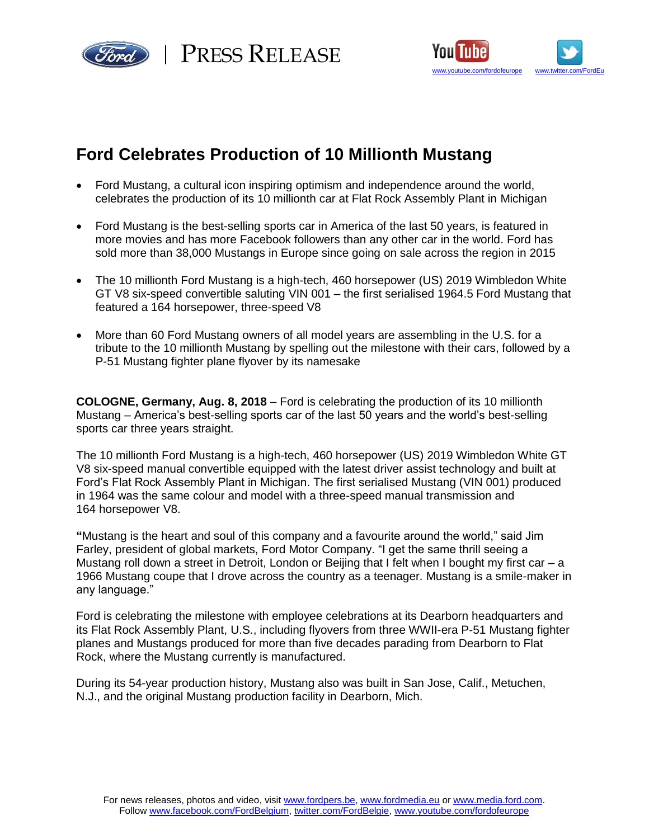



# **Ford Celebrates Production of 10 Millionth Mustang**

- Ford Mustang, a cultural icon inspiring optimism and independence around the world, celebrates the production of its 10 millionth car at Flat Rock Assembly Plant in Michigan
- Ford Mustang is the best-selling sports car in America of the last 50 years, is featured in more movies and has more Facebook followers than any other car in the world. Ford has sold more than 38,000 Mustangs in Europe since going on sale across the region in 2015
- The 10 millionth Ford Mustang is a high-tech, 460 horsepower (US) 2019 Wimbledon White GT V8 six-speed convertible saluting VIN 001 – the first serialised 1964.5 Ford Mustang that featured a 164 horsepower, three-speed V8
- More than 60 Ford Mustang owners of all model years are assembling in the U.S. for a tribute to the 10 millionth Mustang by spelling out the milestone with their cars, followed by a P-51 Mustang fighter plane flyover by its namesake

**COLOGNE, Germany, Aug. 8, 2018** – Ford is celebrating the production of its 10 millionth Mustang – America's best-selling sports car of the last 50 years and the world's best-selling sports car three years straight.

The 10 millionth Ford Mustang is a high-tech, 460 horsepower (US) 2019 Wimbledon White GT V8 six-speed manual convertible equipped with the latest driver assist technology and built at Ford's Flat Rock Assembly Plant in Michigan. The first serialised Mustang (VIN 001) produced in 1964 was the same colour and model with a three-speed manual transmission and 164 horsepower V8.

**"**Mustang is the heart and soul of this company and a favourite around the world," said Jim Farley, president of global markets, Ford Motor Company. "I get the same thrill seeing a Mustang roll down a street in Detroit, London or Beijing that I felt when I bought my first car  $-$  a 1966 Mustang coupe that I drove across the country as a teenager. Mustang is a smile-maker in any language."

Ford is celebrating the milestone with employee celebrations at its Dearborn headquarters and its Flat Rock Assembly Plant, U.S., including flyovers from three WWII-era P-51 Mustang fighter planes and Mustangs produced for more than five decades parading from Dearborn to Flat Rock, where the Mustang currently is manufactured.

During its 54-year production history, Mustang also was built in San Jose, Calif., Metuchen, N.J., and the original Mustang production facility in Dearborn, Mich.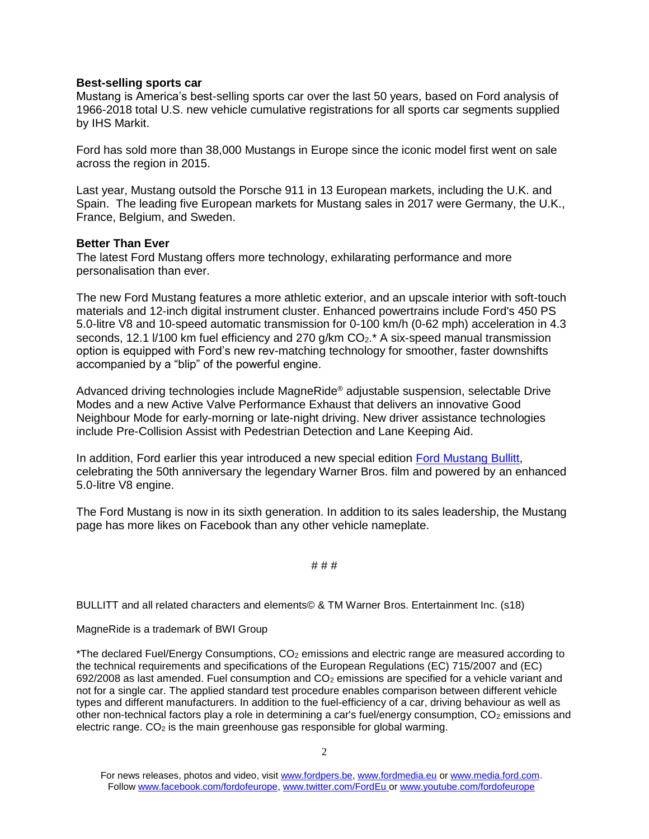## **Best-selling sports car**

Mustang is America's best-selling sports car over the last 50 years, based on Ford analysis of 1966-2018 total U.S. new vehicle cumulative registrations for all sports car segments supplied by IHS Markit.

Ford has sold more than 38,000 Mustangs in Europe since the iconic model first went on sale across the region in 2015.

Last year, Mustang outsold the Porsche 911 in 13 European markets, including the U.K. and Spain. The leading five European markets for Mustang sales in 2017 were Germany, the U.K., France, Belgium, and Sweden.

## **Better Than Ever**

The latest Ford Mustang offers more technology, exhilarating performance and more personalisation than ever.

The new Ford Mustang features a more athletic exterior, and an upscale interior with soft-touch materials and 12-inch digital instrument cluster. Enhanced powertrains include Ford's 450 PS 5.0-litre V8 and 10-speed automatic transmission for 0-100 km/h (0-62 mph) acceleration in 4.3 seconds, 12.1  $\frac{1}{100}$  km fuel efficiency and 270 g/km CO<sub>2</sub>.<sup>\*</sup> A six-speed manual transmission option is equipped with Ford's new rev-matching technology for smoother, faster downshifts accompanied by a "blip" of the powerful engine.

Advanced driving technologies include MagneRide® adjustable suspension, selectable Drive Modes and a new Active Valve Performance Exhaust that delivers an innovative Good Neighbour Mode for early-morning or late-night driving. New driver assistance technologies include Pre-Collision Assist with Pedestrian Detection and Lane Keeping Aid.

In addition, Ford earlier this year introduced a new special edition [Ford Mustang Bullitt,](https://media.ford.com/content/fordmedia/feu/en/news/2018/03/05/new-ford-mustang-bullitt-for-europe-salutes-silver-screen-legend.html) celebrating the 50th anniversary the legendary Warner Bros. film and powered by an enhanced 5.0-litre V8 engine.

The Ford Mustang is now in its sixth generation. In addition to its sales leadership, the Mustang page has more likes on Facebook than any other vehicle nameplate.

## # # #

BULLITT and all related characters and elements© & TM Warner Bros. Entertainment Inc. (s18)

## MagneRide is a trademark of BWI Group

\*The declared Fuel/Energy Consumptions,  $CO<sub>2</sub>$  emissions and electric range are measured according to the technical requirements and specifications of the European Regulations (EC) 715/2007 and (EC) 692/2008 as last amended. Fuel consumption and  $CO<sub>2</sub>$  emissions are specified for a vehicle variant and not for a single car. The applied standard test procedure enables comparison between different vehicle types and different manufacturers. In addition to the fuel-efficiency of a car, driving behaviour as well as other non-technical factors play a role in determining a car's fuel/energy consumption, CO<sub>2</sub> emissions and electric range.  $CO<sub>2</sub>$  is the main greenhouse gas responsible for global warming.

For news releases, photos and video, visit [www.fordpers.be,](http://www.fordpers.be/) [www.fordmedia.eu](http://www.fordmedia.eu/) or [www.media.ford.com.](http://www.media.ford.com/) Follo[w www.facebook.com/fordofeurope,](http://www.facebook.com/fordofeurope) [www.twitter.com/FordEu](http://www.twitter.com/FordEu) o[r www.youtube.com/fordofeurope](http://www.youtube.com/fordofeurope)